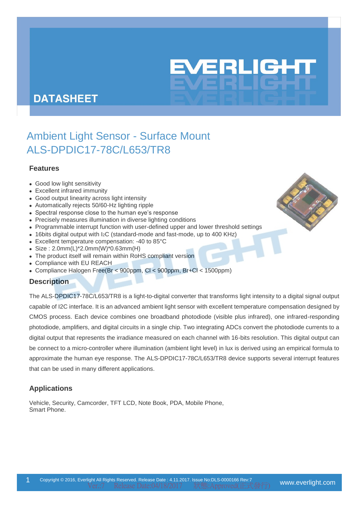# EVERLIGHT

# **DATASHEET**

# Ambient Light Sensor - Surface Mount ALS-DPDIC17-78C/L653/TR8

# **Features**

- Good low light sensitivity
- Excellent infrared immunity
- Good output linearity across light intensity
- Automatically rejects 50/60-Hz lighting ripple
- Spectral response close to the human eye's response
- Precisely measures illumination in diverse lighting conditions
- Programmable interrupt function with user-defined upper and lower threshold settings
- 16bits digital output with I2C (standard-mode and fast-mode, up to 400 KHz)
- Excellent temperature compensation: -40 to 85°C
- Size : 2.0mm(L)\*2.0mm(W)\*0.63mm(H)
- The product itself will remain within RoHS compliant version
- Compliance with EU REACH
- Compliance Halogen Free(Br < 900ppm, Cl < 900ppm, Br+Cl < 1500ppm)

# **Description**

The ALS-DPDIC17-78C/L653/TR8 is a light-to-digital converter that transforms light intensity to a digital signal output capable of I2C interface. It is an advanced ambient light sensor with excellent temperature compensation designed by CMOS process. Each device combines one broadband photodiode (visible plus infrared), one infrared-responding photodiode, amplifiers, and digital circuits in a single chip. Two integrating ADCs convert the photodiode currents to a digital output that represents the irradiance measured on each channel with 16-bits resolution. This digital output can be connect to a micro-controller where illumination (ambient light level) in lux is derived using an empirical formula to approximate the human eye response. The ALS-DPDIC17-78C/L653/TR8 device supports several interrupt features that can be used in many different applications.

# **Applications**

Vehicle, Security, Camcorder, TFT LCD, Note Book, PDA, Mobile Phone, Smart Phone.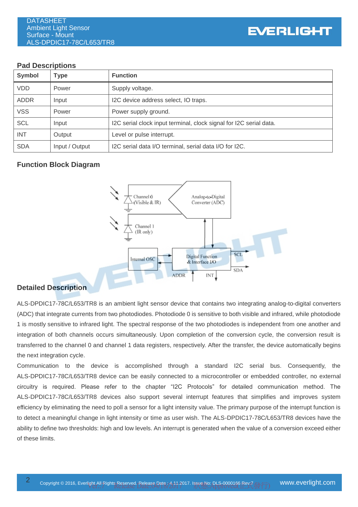### **Pad Descriptions**

| <b>Symbol</b> | <b>Type</b>    | <b>Function</b>                                                    |
|---------------|----------------|--------------------------------------------------------------------|
| <b>VDD</b>    | Power          | Supply voltage.                                                    |
| <b>ADDR</b>   | Input          | I2C device address select, IO traps.                               |
| <b>VSS</b>    | Power          | Power supply ground.                                               |
| <b>SCL</b>    | Input          | I2C serial clock input terminal, clock signal for I2C serial data. |
| <b>INT</b>    | Output         | Level or pulse interrupt.                                          |
| <b>SDA</b>    | Input / Output | I2C serial data I/O terminal, serial data I/O for I2C.             |

# **Function Block Diagram**



# **Detailed Description**

ALS-DPDIC17-78C/L653/TR8 is an ambient light sensor device that contains two integrating analog-to-digital converters (ADC) that integrate currents from two photodiodes. Photodiode 0 is sensitive to both visible and infrared, while photodiode 1 is mostly sensitive to infrared light. The spectral response of the two photodiodes is independent from one another and integration of both channels occurs simultaneously. Upon completion of the conversion cycle, the conversion result is transferred to the channel 0 and channel 1 data registers, respectively. After the transfer, the device automatically begins the next integration cycle.

Communication to the device is accomplished through a standard I2C serial bus. Consequently, the ALS-DPDIC17-78C/L653/TR8 device can be easily connected to a microcontroller or embedded controller, no external circuitry is required. Please refer to the chapter "I2C Protocols" for detailed communication method. The ALS-DPDIC17-78C/L653/TR8 devices also support several interrupt features that simplifies and improves system efficiency by eliminating the need to poll a sensor for a light intensity value. The primary purpose of the interrupt function is to detect a meaningful change in light intensity or time as user wish. The ALS-DPDIC17-78C/L653/TR8 devices have the ability to define two thresholds: high and low levels. An interrupt is generated when the value of a conversion exceed either of these limits.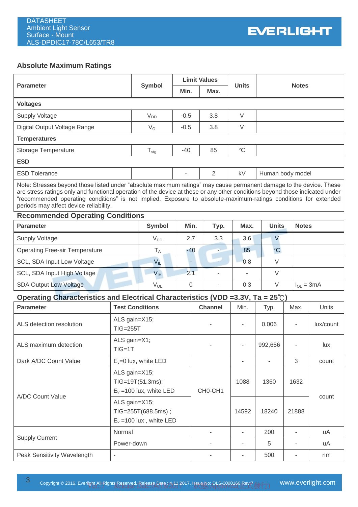# **Absolute Maximum Ratings**

|                                                                                                                                                                                                                                                                                                                                                                                                                  |                  |        | <b>Limit Values</b> |                 |                  |              |  |  |  |
|------------------------------------------------------------------------------------------------------------------------------------------------------------------------------------------------------------------------------------------------------------------------------------------------------------------------------------------------------------------------------------------------------------------|------------------|--------|---------------------|-----------------|------------------|--------------|--|--|--|
| <b>Parameter</b>                                                                                                                                                                                                                                                                                                                                                                                                 | Symbol           | Min.   | Max.                | <b>Units</b>    | <b>Notes</b>     |              |  |  |  |
| <b>Voltages</b>                                                                                                                                                                                                                                                                                                                                                                                                  |                  |        |                     |                 |                  |              |  |  |  |
| <b>Supply Voltage</b>                                                                                                                                                                                                                                                                                                                                                                                            | $V_{DD}$         | $-0.5$ | 3.8                 | $\vee$          |                  |              |  |  |  |
| Digital Output Voltage Range                                                                                                                                                                                                                                                                                                                                                                                     | $V_{\rm O}$      | $-0.5$ | 3.8                 | $\vee$          |                  |              |  |  |  |
| <b>Temperatures</b>                                                                                                                                                                                                                                                                                                                                                                                              |                  |        |                     |                 |                  |              |  |  |  |
| Storage Temperature                                                                                                                                                                                                                                                                                                                                                                                              | $T_{\text{stg}}$ | $-40$  | 85                  | $\rm ^{\circ}C$ |                  |              |  |  |  |
| <b>ESD</b>                                                                                                                                                                                                                                                                                                                                                                                                       |                  |        |                     |                 |                  |              |  |  |  |
| <b>ESD Tolerance</b>                                                                                                                                                                                                                                                                                                                                                                                             |                  |        | 2                   | kV              | Human body model |              |  |  |  |
| Note: Stresses beyond those listed under "absolute maximum ratings" may cause permanent damage to the device. These<br>are stress ratings only and functional operation of the device at these or any other conditions beyond those indicated under<br>"recommended operating conditions" is not implied. Exposure to absolute-maximum-ratings conditions for extended<br>periods may affect device reliability. |                  |        |                     |                 |                  |              |  |  |  |
| <b>Recommended Operating Conditions</b>                                                                                                                                                                                                                                                                                                                                                                          |                  |        |                     |                 |                  |              |  |  |  |
| <b>Parameter</b>                                                                                                                                                                                                                                                                                                                                                                                                 | <b>Symbol</b>    | Min.   | Typ.                | Max.            | <b>Units</b>     | <b>Notes</b> |  |  |  |
| <b>Supply Voltage</b>                                                                                                                                                                                                                                                                                                                                                                                            | $V_{DD}$         | 2.7    | 3.3                 | 3.6             | V                |              |  |  |  |
| <b>Operating Free-air Temperature</b>                                                                                                                                                                                                                                                                                                                                                                            | $T_A$            | $-40$  | ÷.                  | 85              | $^{\circ}$ C     |              |  |  |  |
| <b>SCL. SDA Input Low Voltage</b>                                                                                                                                                                                                                                                                                                                                                                                | V <sub>II</sub>  |        |                     | 0.8             | V                |              |  |  |  |

|                             | ັ⊔⊏             |          |       | ---    |        |                |
|-----------------------------|-----------------|----------|-------|--------|--------|----------------|
| SCL, SDA Input High Voltage | V <sub>IH</sub> | <u>.</u> |       |        |        |                |
| SDA Output Low Voltage      | Y OL            |          | -     | 0.3    |        | $I_{OL} = 3mA$ |
| ____<br>--<br>___<br>___    | - - -           | _______  | _____ | ______ | $   -$ |                |

# **Operating Characteristics and Electrical Characteristics (VDD =3.3V, Ta = 25**℃**)**

| <b>Parameter</b>            | <b>Test Conditions</b>                                            | <b>Channel</b>           | Min.  | Typ.    | Max.  | Units     |  |
|-----------------------------|-------------------------------------------------------------------|--------------------------|-------|---------|-------|-----------|--|
| ALS detection resolution    | ALS gain=X15;<br><b>TIG=255T</b>                                  |                          | ٠     | 0.006   | ٠     | lux/count |  |
| ALS maximum detection       | ALS gain=X1;<br>$TIG=1T$                                          |                          | ٠     | 992,656 |       | lux       |  |
| Dark A/DC Count Value       | $E_y = 0$ lux, white LED                                          |                          |       |         | 3     | count     |  |
| A/DC Count Value            | ALS gain=X15;<br>TIG=19T(51.3ms);<br>$E_v = 100$ lux, white LED   | CHO-CH <sub>1</sub>      | 1088  | 1360    | 1632  |           |  |
|                             | ALS gain=X15;<br>TIG=255T(688.5ms);<br>$E_v = 100$ lux, white LED |                          | 14592 | 18240   | 21888 | count     |  |
|                             | Normal                                                            | $\overline{\phantom{a}}$ | ٠     | 200     |       | uA        |  |
| <b>Supply Current</b>       | Power-down                                                        | ٠                        | ٠     | 5       |       | uA        |  |
| Peak Sensitivity Wavelength | $\overline{\phantom{a}}$                                          |                          |       | 500     |       | nm        |  |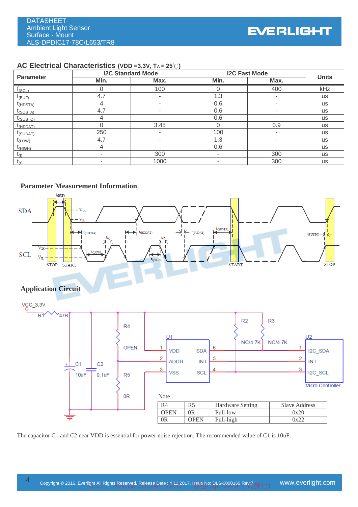#### **AC Electrical Characteristics (VDD =3.3V, TA = 25**℃**)**

|                  | <b>I2C Standard Mode</b> |      | <b>I2C Fast Mode</b> | <b>Units</b> |           |
|------------------|--------------------------|------|----------------------|--------------|-----------|
| <b>Parameter</b> | Min.                     | Max. | Min.                 | Max.         |           |
| $f_{(SCL)}$      |                          | 100  |                      | 400          | kHz       |
| $I_{(BUF)}$      | 4.7                      |      | 1.3                  | ۰            | <b>us</b> |
| $I_{(HDSTA)}$    |                          | -    | 0.6                  | ۰            | <b>us</b> |
| $I_{(SUSTA)}$    | 4.7                      |      | 0.6                  | ۰            | <b>us</b> |
| $I_{(SUSTO)}$    | 4                        |      | 0.6                  | ۰            | <b>us</b> |
| $I_{(HDDAT)}$    |                          | 3.45 | O                    | 0.9          | <b>us</b> |
| $I_{(SUDAT)}$    | 250                      |      | 100                  |              | <b>us</b> |
| $I_{(LOW)}$      | 4.7                      |      | 1.3                  |              | <b>us</b> |
| $t_{(HIGH)}$     | 4                        |      | 0.6                  | ۰            | <b>us</b> |
| $t_{(f)}$        |                          | 300  | $\,$                 | 300          | <b>us</b> |
| $t_{(r)}$        | ۰                        | 1000 | ۰                    | 300          | <b>us</b> |

#### **Parameter Measurement Information**



The capacitor C1 and C2 near VDD is essential for power noise rejection. The recommended value of C1 is 10uF.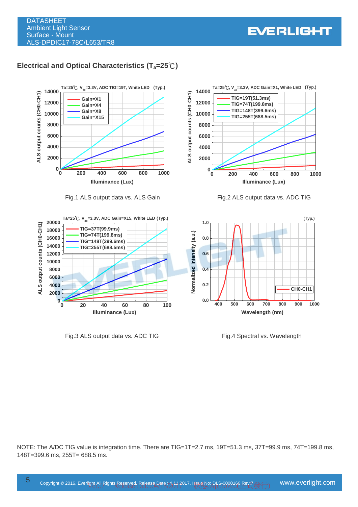**0 200 400 600 800 1000**

**0**

**10000 TIG=255T(688.5ms) 12000 TIG=74T(199.8ms)**

**TIG=148T(399.6ms)**

**TIG=19T(51.3ms)**

**Ta=25**℃**, V (Typ.) dd=3.3V, ADC Gain=X1, White LED ALS output counts (CH0-CH1)**

**Illuminance (Lux)**

Ta=25<sup>°</sup>C,  $V_{dd}$ =3.3V, ADC Gain=X1, White LED (Typ.)

# **Electrical and Optical Characteristics (Ta=25**℃**)**





Fig.3 ALS output data vs. ADC TIG Fig.4 Spectral vs. Wavelength

NOTE: The A/DC TIG value is integration time. There are TIG=1T=2.7 ms, 19T=51.3 ms, 37T=99.9 ms, 74T=199.8 ms, 148T=399.6 ms, 255T= 688.5 ms.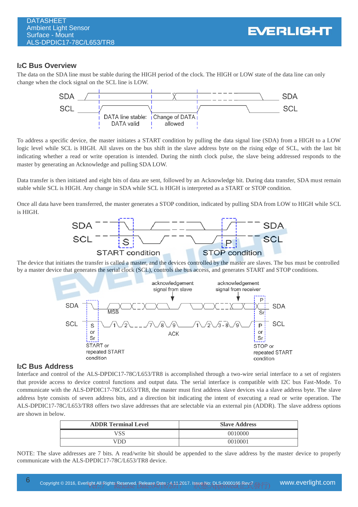#### **I2C Bus Overview**

The data on the SDA line must be stable during the HIGH period of the clock. The HIGH or LOW state of the data line can only change when the clock signal on the SCL line is LOW.



To address a specific device, the master initiates a START condition by pulling the data signal line (SDA) from a HIGH to a LOW logic level while SCL is HIGH. All slaves on the bus shift in the slave address byte on the rising edge of SCL, with the last bit indicating whether a read or write operation is intended. During the ninth clock pulse, the slave being addressed responds to the master by generating an Acknowledge and pulling SDA LOW.

Data transfer is then initiated and eight bits of data are sent, followed by an Acknowledge bit. During data transfer, SDA must remain stable while SCL is HIGH. Any change in SDA while SCL is HIGH is interpreted as a START or STOP condition.

Once all data have been transferred, the master generates a STOP condition, indicated by pulling SDA from LOW to HIGH while SCL is HIGH.



The device that initiates the transfer is called a master, and the devices controlled by the master are slaves. The bus must be controlled by a master device that generates the serial clock (SCL), controls the bus access, and generates START and STOP conditions.



#### **I2C Bus Address**

Interface and control of the ALS-DPDIC17-78C/L653/TR8 is accomplished through a two-wire serial interface to a set of registers that provide access to device control functions and output data. The serial interface is compatible with I2C bus Fast-Mode. To communicate with the ALS-DPDIC17-78C/L653/TR8, the master must first address slave devices via a slave address byte. The slave address byte consists of seven address bits, and a direction bit indicating the intent of executing a read or write operation. The ALS-DPDIC17-78C/L653/TR8 offers two slave addresses that are selectable via an external pin (ADDR). The slave address options are shown in below.

| <b>ADDR Terminal Level</b> | <b>Slave Address</b> |
|----------------------------|----------------------|
| /SS                        | 0010000              |
| /DF                        | 0010001              |

NOTE: The slave addresses are 7 bits. A read/write bit should be appended to the slave address by the master device to properly communicate with the ALS-DPDIC17-78C/L653/TR8 device.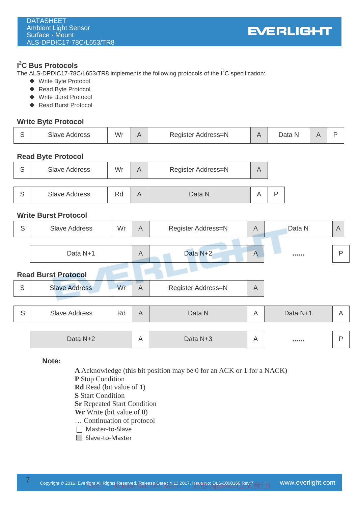# **I <sup>2</sup>C Bus Protocols**

The ALS-DPDIC17-78C/L653/TR8 implements the following protocols of the  $I<sup>2</sup>C$  specification:

- ◆ Write Byte Protocol
- ◆ Read Byte Protocol
- ◆ Write Burst Protocol
- ◆ Read Burst Protocol

# **Write Byte Protocol**

|  | Slave<br>Address | Wr |  | Register Address=N |  | Data<br>N |  |  |
|--|------------------|----|--|--------------------|--|-----------|--|--|
|--|------------------|----|--|--------------------|--|-----------|--|--|

# **Read Byte Protocol**

| ົ | <b>Slave Address</b> | Wr |  | Register Address=N | A |    |
|---|----------------------|----|--|--------------------|---|----|
| c | <b>Slave Address</b> | Rd |  | Data N             |   | רו |

# **Write Burst Protocol**

| S | <b>Slave Address</b>       | Wr | $\overline{A}$ | Register Address=N | $\overline{A}$ | Data N   | $\overline{A}$ |
|---|----------------------------|----|----------------|--------------------|----------------|----------|----------------|
|   |                            |    |                |                    |                |          |                |
|   | Data N+1                   |    | $\overline{A}$ | Data N+2           | $\overline{A}$ |          | P              |
|   | <b>Read Burst Protocol</b> |    |                |                    |                |          |                |
| S | <b>Slave Address</b>       | Wr | $\overline{A}$ | Register Address=N | $\overline{A}$ |          |                |
|   |                            |    |                |                    |                |          |                |
| S | <b>Slave Address</b>       | Rd | $\overline{A}$ | Data N             | $\overline{A}$ | Data N+1 | A              |
|   |                            |    |                |                    |                |          |                |
|   | Data N+2                   |    | A              | Data N+3           | A              |          | P              |

**Note:**

**A** Acknowledge (this bit position may be 0 for an ACK or **1** for a NACK) **P** Stop Condition **Rd** Read (bit value of **1**)

**S** Start Condition

**Sr** Repeated Start Condition

**Wr** Write (bit value of **0**)

… Continuation of protocol

- Master-to-Slave
- □ Slave-to-Master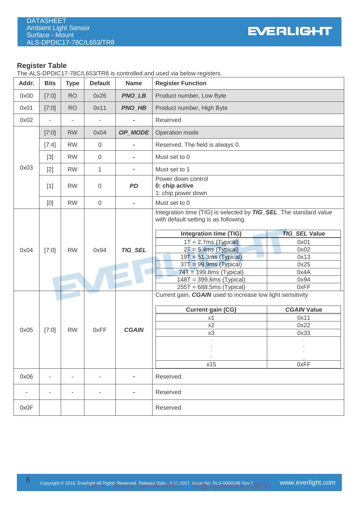#### **Register Table**

The ALS-DPDIC17-78C/L653/TR8 is controlled and used via below registers.

| Addr. | <b>Bits</b>              | <b>Type</b>              | <b>Default</b> | <b>Name</b>    | <b>Register Function</b>                                                                                                                                                                                                                                                                                                                                                                                               |                                                                              |
|-------|--------------------------|--------------------------|----------------|----------------|------------------------------------------------------------------------------------------------------------------------------------------------------------------------------------------------------------------------------------------------------------------------------------------------------------------------------------------------------------------------------------------------------------------------|------------------------------------------------------------------------------|
| 0x00  | [7:0]                    | <b>RO</b>                | 0x26           | <b>PNO_LB</b>  | Product number, Low Byte                                                                                                                                                                                                                                                                                                                                                                                               |                                                                              |
| 0x01  | [7:0]                    | <b>RO</b>                | 0x11           | <b>PNO_HB</b>  | Product number, High Byte                                                                                                                                                                                                                                                                                                                                                                                              |                                                                              |
| 0x02  | $\blacksquare$           | $\overline{\phantom{a}}$ |                |                | Reserved                                                                                                                                                                                                                                                                                                                                                                                                               |                                                                              |
|       | [7:0]                    | <b>RW</b>                | 0x04           | OP_MODE        | Operation mode                                                                                                                                                                                                                                                                                                                                                                                                         |                                                                              |
|       | [7:4]                    | <b>RW</b>                | $\mathbf 0$    | $\blacksquare$ | Reserved. The field is always 0.                                                                                                                                                                                                                                                                                                                                                                                       |                                                                              |
|       | $[3]$                    | <b>RW</b>                | $\mathbf 0$    |                | Must set to 0                                                                                                                                                                                                                                                                                                                                                                                                          |                                                                              |
| 0x03  | $[2]$                    | <b>RW</b>                | 1              | $\blacksquare$ | Must set to 1                                                                                                                                                                                                                                                                                                                                                                                                          |                                                                              |
|       | $[1]$                    | <b>RW</b>                | 0              | <b>PD</b>      | Power down control<br>0: chip active<br>1: chip power down                                                                                                                                                                                                                                                                                                                                                             |                                                                              |
|       | [0]                      | <b>RW</b>                | $\mathbf 0$    | $\bar{a}$      | Must set to 0                                                                                                                                                                                                                                                                                                                                                                                                          |                                                                              |
| 0x04  | [7:0]                    | <b>RW</b>                | 0x94           | <b>TIG_SEL</b> | Integration time (TIG) is selected by <b>TIG_SEL</b> . The standard value<br>with default setting is as following.<br><b>Integration time (TIG)</b><br>$1T = 2.7ms$ (Typical)<br>$2T = 5.4ms$ (Typical)<br>$19T = 51.3ms$ (Typical)<br>$37T = 99.9ms$ (Typical)<br>$74T = 199.8ms$ (Typical)<br>$148T = 399.6ms$ (Typical)<br>$255T = 688.5ms$ (Typical)<br>Current gain, CGAIN used to increase low light sensitivity | <b>TIG_SEL Value</b><br>0x01<br>0x02<br>0x13<br>0x25<br>0x4A<br>0x94<br>0xFF |
| 0x05  | [7:0]                    | <b>RW</b>                | 0xFF           | <b>CGAIN</b>   | <b>Current gain (CG)</b><br>x1<br>x2<br>x3<br><br>x15                                                                                                                                                                                                                                                                                                                                                                  | <b>CGAIN Value</b><br>0x11<br>0x22<br>0x33<br>0xFF                           |
| 0x06  | $\overline{\phantom{a}}$ | ۰                        | $\blacksquare$ | $\blacksquare$ | Reserved                                                                                                                                                                                                                                                                                                                                                                                                               |                                                                              |
|       |                          |                          |                |                | Reserved                                                                                                                                                                                                                                                                                                                                                                                                               |                                                                              |
| 0x0F  |                          |                          |                |                | Reserved                                                                                                                                                                                                                                                                                                                                                                                                               |                                                                              |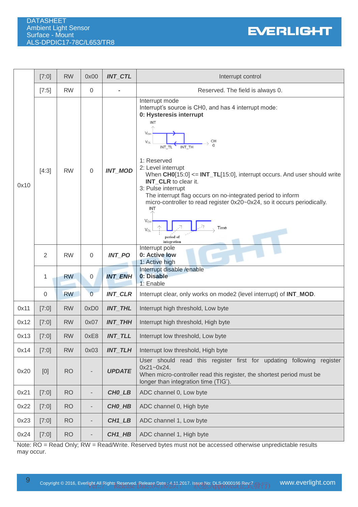

|      | [7:0]          | <b>RW</b> | 0x00           | <b>INT_CTL</b>     | Interrupt control                                                                                                                                                                                                                                                                                                                                              |
|------|----------------|-----------|----------------|--------------------|----------------------------------------------------------------------------------------------------------------------------------------------------------------------------------------------------------------------------------------------------------------------------------------------------------------------------------------------------------------|
|      | $[7:5]$        | <b>RW</b> | 0              |                    | Reserved. The field is always 0.                                                                                                                                                                                                                                                                                                                               |
|      |                |           |                |                    | Interrupt mode<br>Interrupt's source is CH0, and has 4 interrupt mode:<br>0: Hysteresis interrupt<br>INT<br>$V_{OH}$<br>CН<br>$V_{OL}$<br>INT TH<br>INT TL<br>1: Reserved                                                                                                                                                                                      |
| 0x10 | [4:3]          | <b>RW</b> | 0              | <b>INT_MOD</b>     | 2: Level interrupt<br>When $CH0[15:0] \leq INT\_TL[15:0]$ , interrupt occurs. And user should write<br>INT_CLR to clear it.<br>3: Pulse interrupt<br>The interrupt flag occurs on no-integrated period to inform<br>micro-controller to read register 0x20~0x24, so it occurs periodically.<br>INT<br>$V_{OH}$<br>Time<br>$V_{OL}$<br>period of<br>integration |
|      | $\overline{2}$ | <b>RW</b> | 0              | <b>INT PO</b>      | Interrupt pole<br>0: Active low<br>1: Active high                                                                                                                                                                                                                                                                                                              |
|      | 1              | <b>RW</b> | 0              | <b>INT ENH</b>     | Interrupt disable /enable<br>0: Disable<br>1: Enable                                                                                                                                                                                                                                                                                                           |
|      | $\mathbf 0$    | <b>RW</b> | $\overline{0}$ | <b>INT_CLR</b>     | Interrupt clear, only works on mode2 (level interrupt) of INT_MOD.                                                                                                                                                                                                                                                                                             |
| 0x11 | [7:0]          | <b>RW</b> | 0xD0           | <b>INT_THL</b>     | Interrupt high threshold, Low byte                                                                                                                                                                                                                                                                                                                             |
| 0x12 | [7:0]          | <b>RW</b> | 0x07           | <b>INT_THH</b>     | Interrupt high threshold, High byte                                                                                                                                                                                                                                                                                                                            |
| 0x13 | [7:0]          | <b>RW</b> | 0xE8           | <b>INT TLL</b>     | Interrupt low threshold, Low byte                                                                                                                                                                                                                                                                                                                              |
| 0x14 | [7:0]          | <b>RW</b> | 0x03           | <b>INT_TLH</b>     | Interrupt low threshold, High byte                                                                                                                                                                                                                                                                                                                             |
| 0x20 | [0]            | <b>RO</b> |                | <b>UPDATE</b>      | User should read this register first for updating following register<br>$0x21 - 0x24$ .<br>When micro-controller read this register, the shortest period must be<br>longer than integration time (TIG').                                                                                                                                                       |
| 0x21 | [7:0]          | <b>RO</b> |                | CHO_LB             | ADC channel 0, Low byte                                                                                                                                                                                                                                                                                                                                        |
| 0x22 | [7:0]          | <b>RO</b> |                | CHO HB             | ADC channel 0, High byte                                                                                                                                                                                                                                                                                                                                       |
| 0x23 | [7:0]          | <b>RO</b> |                | CH1_LB             | ADC channel 1, Low byte                                                                                                                                                                                                                                                                                                                                        |
| 0x24 | [7:0]          | <b>RO</b> |                | CH <sub>1_HB</sub> | ADC channel 1, High byte                                                                                                                                                                                                                                                                                                                                       |

Note: RO = Read Only; RW = Read/Write. Reserved bytes must not be accessed otherwise unpredictable results may occur.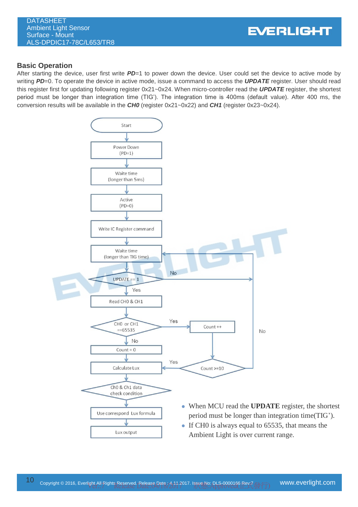DATASHEET Ambient Light Sensor Surface - Mount ALS-DPDIC17-78C/L653/TR8

#### **Basic Operation**

After starting the device, user first write *PD*=1 to power down the device. User could set the device to active mode by writing *PD*=0. To operate the device in active mode, issue a command to access the *UPDATE* register. User should read this register first for updating following register 0x21~0x24. When micro-controller read the *UPDATE* register, the shortest period must be longer than integration time (TIG'). The integration time is 400ms (default value). After 400 ms, the conversion results will be available in the *CH0* (register 0x21~0x22) and *CH1* (register 0x23~0x24).

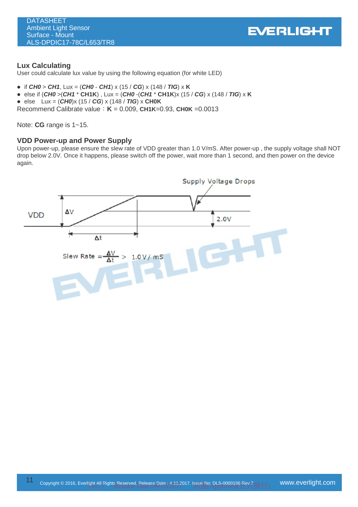

#### **Lux Calculating**

User could calculate lux value by using the following equation (for white LED)

- if  $CHO > CH1$ , Lux =  $(CHO CH1) \times (15 / CG) \times (148 / TIG) \times K$
- else if  $(CHO > (CH1 * CH1K)$ , Lux =  $(CHO -(CH1 * CH1K)x (15 / CG)$  x (148 / **TIG**) x **K**
- $\bullet$  else Lux = (*CH0*)x (15 / *CG*) x (148 / *TIG*) x CH0K

Recommend Calibrate value:**K** = 0.009, **CH1K**=0.93, **CH0K** =0.0013

Note: **CG** range is 1~15.

#### **VDD Power-up and Power Supply**

Upon power-up, please ensure the slew rate of VDD greater than 1.0 V/mS. After power-up , the supply voltage shall NOT drop below 2.0V. Once it happens, please switch off the power, wait more than 1 second, and then power on the device again.

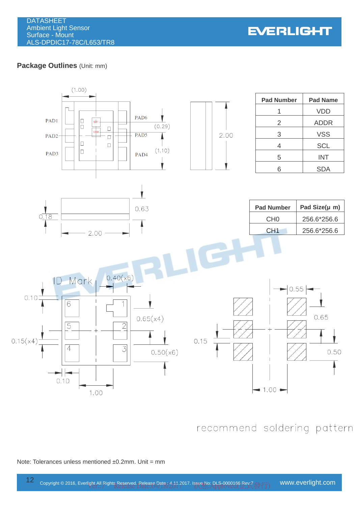**EVERLIGHT** 

# **Package Outlines** (Unit: mm)



# recommend soldering pattern

#### Note: Tolerances unless mentioned ±0.2mm. Unit = mm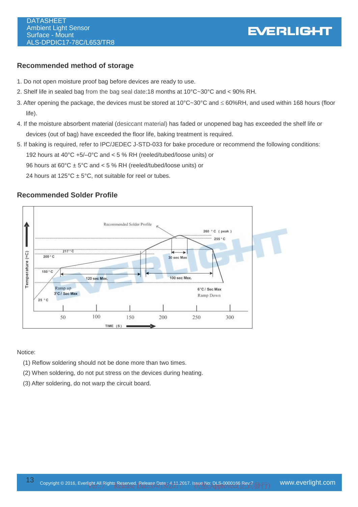# **EVERLIGHT**

# **Recommended method of storage**

- 1. Do not open moisture proof bag before devices are ready to use.
- 2. Shelf life in sealed bag from the bag seal date:18 months at 10°C~30°C and < 90% RH.
- 3. After opening the package, the devices must be stored at 10°C~30°C and  $\leq 60\%$ RH, and used within 168 hours (floor life).
- 4. If the moisture absorbent material (desiccant material) has faded or unopened bag has exceeded the shelf life or devices (out of bag) have exceeded the floor life, baking treatment is required.
- 5. If baking is required, refer to IPC/JEDEC J-STD-033 for bake procedure or recommend the following conditions: 192 hours at 40°C +5/–0°C and < 5 % RH (reeled/tubed/loose units) or 96 hours at 60°C ± 5°C and < 5 % RH (reeled/tubed/loose units) or 24 hours at  $125^{\circ}$ C ± 5°C, not suitable for reel or tubes.

# **Recommended Solder Profile**



#### Notice:

- (1) Reflow soldering should not be done more than two times.
- (2) When soldering, do not put stress on the devices during heating.
- (3) After soldering, do not warp the circuit board.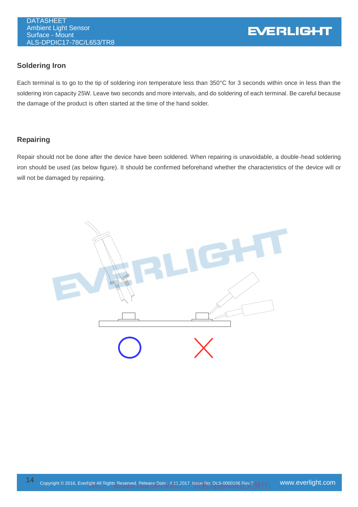# **Soldering Iron**

Each terminal is to go to the tip of soldering iron temperature less than 350°C for 3 seconds within once in less than the soldering iron capacity 25W. Leave two seconds and more intervals, and do soldering of each terminal. Be careful because the damage of the product is often started at the time of the hand solder.

# **Repairing**

Repair should not be done after the device have been soldered. When repairing is unavoidable, a double-head soldering iron should be used (as below figure). It should be confirmed beforehand whether the characteristics of the device will or will not be damaged by repairing.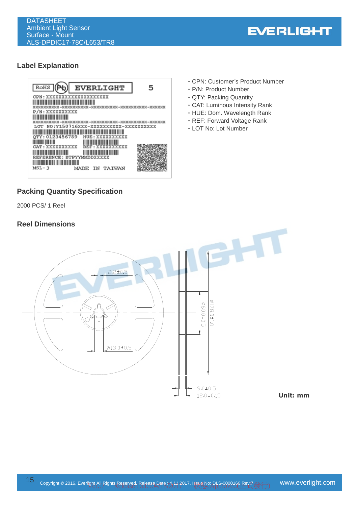

# **Label Explanation**



# **Packing Quantity Specification**

2000 PCS/ 1 Reel

# **Reel Dimensions**

- ‧CPN: Customer's Product Number
- ‧P/N: Product Number
- ‧QTY: Packing Quantity
- ‧CAT: Luminous Intensity Rank
- ‧HUE: Dom. Wavelength Rank
- ‧REF: Forward Voltage Rank
- ‧LOT No: Lot Number

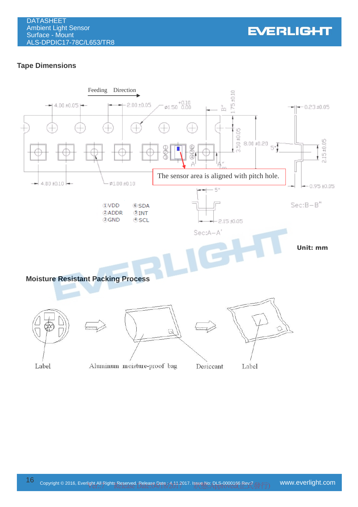

# **Tape Dimensions**